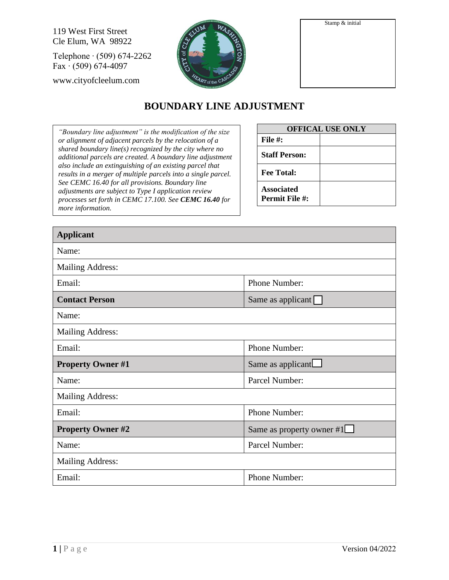119 West First Street Cle Elum, WA 98922

Telephone ∙ (509) 674-2262 Fax ∙ (509) 674-4097

www.cityofcleelum.com



| Stamp & initial |  |
|-----------------|--|
|                 |  |
|                 |  |
|                 |  |
|                 |  |
|                 |  |
|                 |  |
|                 |  |

## **BOUNDARY LINE ADJUSTMENT**

*"Boundary line adjustment" is the modification of the size or alignment of adjacent parcels by the relocation of a shared boundary line(s) recognized by the city where no additional parcels are created. A boundary line adjustment also include an extinguishing of an existing parcel that results in a merger of multiple parcels into a single parcel. See CEMC 16.40 for all provisions. Boundary line adjustments are subject to Type I application review processes set forth in CEMC 17.100. See CEMC 16.40 for more information.*

| <b>OFFICAL USE ONLY</b>                    |  |  |  |
|--------------------------------------------|--|--|--|
| File $#$ :                                 |  |  |  |
| <b>Staff Person:</b>                       |  |  |  |
| <b>Fee Total:</b>                          |  |  |  |
| <b>Associated</b><br><b>Permit File #:</b> |  |  |  |

| <b>Applicant</b>         |                           |  |  |  |
|--------------------------|---------------------------|--|--|--|
| Name:                    |                           |  |  |  |
| <b>Mailing Address:</b>  |                           |  |  |  |
| Email:                   | Phone Number:             |  |  |  |
| <b>Contact Person</b>    | Same as applicant         |  |  |  |
| Name:                    |                           |  |  |  |
| Mailing Address:         |                           |  |  |  |
| Email:                   | Phone Number:             |  |  |  |
| <b>Property Owner #1</b> | Same as applicant         |  |  |  |
| Name:                    | Parcel Number:            |  |  |  |
| <b>Mailing Address:</b>  |                           |  |  |  |
| Email:                   | Phone Number:             |  |  |  |
| <b>Property Owner #2</b> | Same as property owner #1 |  |  |  |
| Name:                    | Parcel Number:            |  |  |  |
| <b>Mailing Address:</b>  |                           |  |  |  |
| Email:                   | Phone Number:             |  |  |  |